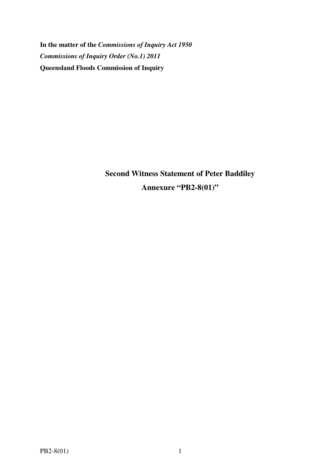**In the matter of the** *Commissions of Inquiry Act 1950 Commissions of Inquiry Order (No.1) 2011* **Queensland Floods Commission of Inquiry** 

> **Second Witness Statement of Peter Baddiley Annexure "PB2-8(01)"**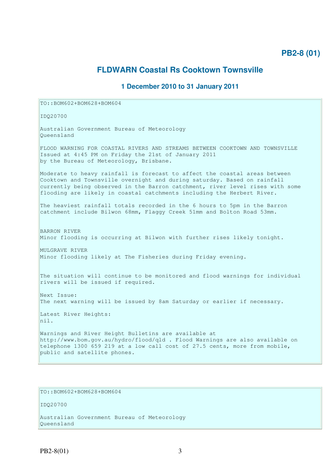# **PB2-8 (01)**

# **FLDWARN Coastal Rs Cooktown Townsville**

### **1 December 2010 to 31 January 2011**

TO::BOM602+BOM628+BOM604

IDQ20700

Australian Government Bureau of Meteorology Queensland

FLOOD WARNING FOR COASTAL RIVERS AND STREAMS BETWEEN COOKTOWN AND TOWNSVILLE Issued at 4:45 PM on Friday the 21st of January 2011 by the Bureau of Meteorology, Brisbane.

Moderate to heavy rainfall is forecast to affect the coastal areas between Cooktown and Townsville overnight and during saturday. Based on rainfall currently being observed in the Barron catchment, river level rises with some flooding are likely in coastal catchments including the Herbert River.

The heaviest rainfall totals recorded in the 6 hours to 5pm in the Barron catchment include Bilwon 68mm, Flaggy Creek 51mm and Bolton Road 53mm.

BARRON RIVER Minor flooding is occurring at Bilwon with further rises likely tonight.

MULGRAVE RIVER Minor flooding likely at The Fisheries during Friday evening.

The situation will continue to be monitored and flood warnings for individual rivers will be issued if required.

Next Issue: The next warning will be issued by 8am Saturday or earlier if necessary.

Latest River Heights: nil.

Warnings and River Height Bulletins are available at http://www.bom.gov.au/hydro/flood/qld . Flood Warnings are also available on telephone 1300 659 219 at a low call cost of 27.5 cents, more from mobile, public and satellite phones.

## TO::BOM602+BOM628+BOM604

IDQ20700

Australian Government Bureau of Meteorology Queensland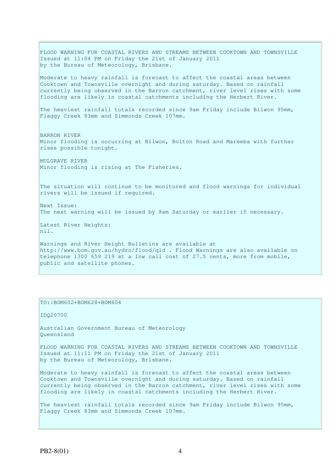FLOOD WARNING FOR COASTAL RIVERS AND STREAMS BETWEEN COOKTOWN AND TOWNSVILLE Issued at 11:04 PM on Friday the 21st of January 2011 by the Bureau of Meteorology, Brisbane. Moderate to heavy rainfall is forecast to affect the coastal areas between Cooktown and Townsville overnight and during saturday. Based on rainfall currently being observed in the Barron catchment, river level rises with some flooding are likely in coastal catchments including the Herbert River. The heaviest rainfall totals recorded since 9am Friday include Bilwon 95mm, Flaggy Creek 83mm and Simmonds Creek 107mm. BARRON RIVER Minor flooding is occurring at Bilwon, Bolton Road and Mareeba with further rises possible tonight. MULGRAVE RIVER Minor flooding is rising at The Fisheries. The situation will continue to be monitored and flood warnings for individual rivers will be issued if required. Next Issue: The next warning will be issued by 8am Saturday or earlier if necessary. Latest River Heights: nil. Warnings and River Height Bulletins are available at http://www.bom.gov.au/hydro/flood/qld . Flood Warnings are also available on telephone 1300 659 219 at a low call cost of 27.5 cents, more from mobile, public and satellite phones.

### TO::BOM602+BOM628+BOM604

IDQ20700

Australian Government Bureau of Meteorology Queensland

FLOOD WARNING FOR COASTAL RIVERS AND STREAMS BETWEEN COOKTOWN AND TOWNSVILLE Issued at 11:11 PM on Friday the 21st of January 2011 by the Bureau of Meteorology, Brisbane.

Moderate to heavy rainfall is forecast to affect the coastal areas between Cooktown and Townsville overnight and during saturday. Based on rainfall currently being observed in the Barron catchment, river level rises with some flooding are likely in coastal catchments including the Herbert River.

The heaviest rainfall totals recorded since 9am Friday include Bilwon 95mm, Flaggy Creek 83mm and Simmonds Creek 107mm.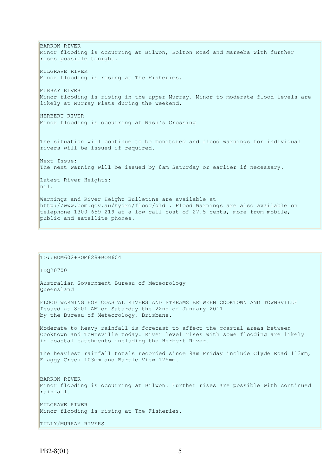BARRON RIVER Minor flooding is occurring at Bilwon, Bolton Road and Mareeba with further rises possible tonight. MULGRAVE RIVER Minor flooding is rising at The Fisheries. MURRAY RIVER Minor flooding is rising in the upper Murray. Minor to moderate flood levels are likely at Murray Flats during the weekend. HERBERT RIVER Minor flooding is occurring at Nash's Crossing The situation will continue to be monitored and flood warnings for individual rivers will be issued if required. Next Issue: The next warning will be issued by 8am Saturday or earlier if necessary. Latest River Heights: nil. Warnings and River Height Bulletins are available at http://www.bom.gov.au/hydro/flood/qld . Flood Warnings are also available on telephone 1300 659 219 at a low call cost of 27.5 cents, more from mobile, public and satellite phones.

TO::BOM602+BOM628+BOM604 IDQ20700 Australian Government Bureau of Meteorology Queensland FLOOD WARNING FOR COASTAL RIVERS AND STREAMS BETWEEN COOKTOWN AND TOWNSVILLE Issued at 8:01 AM on Saturday the 22nd of January 2011 by the Bureau of Meteorology, Brisbane. Moderate to heavy rainfall is forecast to affect the coastal areas between Cooktown and Townsville today. River level rises with some flooding are likely in coastal catchments including the Herbert River. The heaviest rainfall totals recorded since 9am Friday include Clyde Road 113mm, Flaggy Creek 103mm and Bartle View 125mm. BARRON RIVER Minor flooding is occurring at Bilwon. Further rises are possible with continued rainfall. MULGRAVE RIVER Minor flooding is rising at The Fisheries. TULLY/MURRAY RIVERS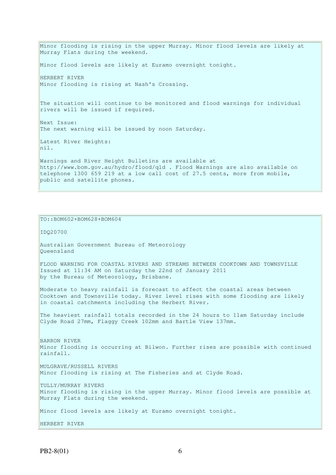Minor flooding is rising in the upper Murray. Minor flood levels are likely at Murray Flats during the weekend. Minor flood levels are likely at Euramo overnight tonight. HERBERT RIVER Minor flooding is rising at Nash's Crossing. The situation will continue to be monitored and flood warnings for individual rivers will be issued if required. Next Issue: The next warning will be issued by noon Saturday. Latest River Heights: nil. Warnings and River Height Bulletins are available at http://www.bom.gov.au/hydro/flood/qld . Flood Warnings are also available on telephone 1300 659 219 at a low call cost of 27.5 cents, more from mobile, public and satellite phones.

```
TO::BOM602+BOM628+BOM604 
IDQ20700 
Australian Government Bureau of Meteorology 
Queensland 
FLOOD WARNING FOR COASTAL RIVERS AND STREAMS BETWEEN COOKTOWN AND TOWNSVILLE 
Issued at 11:34 AM on Saturday the 22nd of January 2011 
by the Bureau of Meteorology, Brisbane.
Moderate to heavy rainfall is forecast to affect the coastal areas between 
Cooktown and Townsville today. River level rises with some flooding are likely 
in coastal catchments including the Herbert River. 
The heaviest rainfall totals recorded in the 24 hours to 11am Saturday include 
Clyde Road 27mm, Flaggy Creek 102mm and Bartle View 137mm. 
BARRON RIVER 
Minor flooding is occurring at Bilwon. Further rises are possible with continued 
rainfall. 
MULGRAVE/RUSSELL RIVERS 
Minor flooding is rising at The Fisheries and at Clyde Road. 
TULLY/MURRAY RIVERS 
Minor flooding is rising in the upper Murray. Minor flood levels are possible at 
Murray Flats during the weekend. 
Minor flood levels are likely at Euramo overnight tonight. 
HERBERT RIVER
```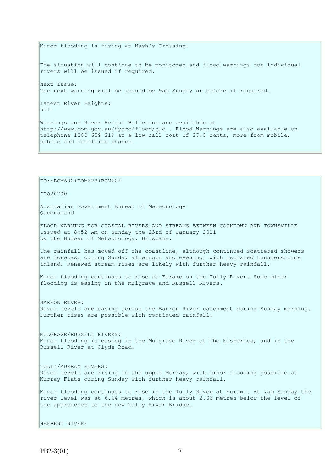Minor flooding is rising at Nash's Crossing.

The situation will continue to be monitored and flood warnings for individual rivers will be issued if required.

Next Issue: The next warning will be issued by 9am Sunday or before if required.

Latest River Heights: nil.

Warnings and River Height Bulletins are available at http://www.bom.gov.au/hydro/flood/qld . Flood Warnings are also available on telephone 1300 659 219 at a low call cost of 27.5 cents, more from mobile, public and satellite phones.

TO::BOM602+BOM628+BOM604

IDQ20700

Australian Government Bureau of Meteorology Queensland

FLOOD WARNING FOR COASTAL RIVERS AND STREAMS BETWEEN COOKTOWN AND TOWNSVILLE Issued at 8:52 AM on Sunday the 23rd of January 2011 by the Bureau of Meteorology, Brisbane.

The rainfall has moved off the coastline, although continued scattered showers are forecast during Sunday afternoon and evening, with isolated thunderstorms inland. Renewed stream rises are likely with further heavy rainfall.

Minor flooding continues to rise at Euramo on the Tully River. Some minor flooding is easing in the Mulgrave and Russell Rivers.

BARRON RIVER:

River levels are easing across the Barron River catchment during Sunday morning. Further rises are possible with continued rainfall.

MULGRAVE/RUSSELL RIVERS: Minor flooding is easing in the Mulgrave River at The Fisheries, and in the Russell River at Clyde Road.

TULLY/MURRAY RIVERS: River levels are rising in the upper Murray, with minor flooding possible at Murray Flats during Sunday with further heavy rainfall.

Minor flooding continues to rise in the Tully River at Euramo. At 7am Sunday the river level was at 6.64 metres, which is about 2.06 metres below the level of the approaches to the new Tully River Bridge.

HERBERT RIVER: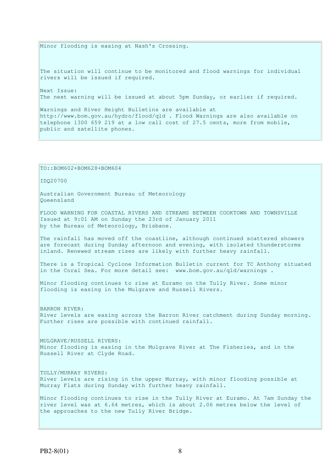Minor flooding is easing at Nash's Crossing. The situation will continue to be monitored and flood warnings for individual rivers will be issued if required. Next Issue: The next warning will be issued at about 5pm Sunday, or earlier if required. Warnings and River Height Bulletins are available at http://www.bom.gov.au/hydro/flood/qld . Flood Warnings are also available on telephone 1300 659 219 at a low call cost of 27.5 cents, more from mobile, public and satellite phones.

TO::BOM602+BOM628+BOM604

IDQ20700

Australian Government Bureau of Meteorology Queensland

FLOOD WARNING FOR COASTAL RIVERS AND STREAMS BETWEEN COOKTOWN AND TOWNSVILLE Issued at 9:01 AM on Sunday the 23rd of January 2011 by the Bureau of Meteorology, Brisbane.

The rainfall has moved off the coastline, although continued scattered showers are forecast during Sunday afternoon and evening, with isolated thunderstorms inland. Renewed stream rises are likely with further heavy rainfall.

There is a Tropical Cyclone Information Bulletin current for TC Anthony situated in the Coral Sea. For more detail see: www.bom.gov.au/qld/warnings .

Minor flooding continues to rise at Euramo on the Tully River. Some minor flooding is easing in the Mulgrave and Russell Rivers.

BARRON RIVER: River levels are easing across the Barron River catchment during Sunday morning. Further rises are possible with continued rainfall.

MULGRAVE/RUSSELL RIVERS: Minor flooding is easing in the Mulgrave River at The Fisheries, and in the Russell River at Clyde Road.

TULLY/MURRAY RIVERS: River levels are rising in the upper Murray, with minor flooding possible at Murray Flats during Sunday with further heavy rainfall.

Minor flooding continues to rise in the Tully River at Euramo. At 7am Sunday the river level was at 6.64 metres, which is about 2.06 metres below the level of the approaches to the new Tully River Bridge.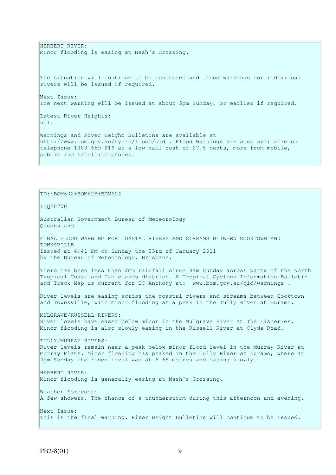HERBERT RIVER: Minor flooding is easing at Nash's Crossing.

The situation will continue to be monitored and flood warnings for individual rivers will be issued if required.

Next Issue: The next warning will be issued at about 5pm Sunday, or earlier if required.

Latest River Heights: nil.

Warnings and River Height Bulletins are available at http://www.bom.gov.au/hydro/flood/qld . Flood Warnings are also available on telephone 1300 659 219 at a low call cost of 27.5 cents, more from mobile, public and satellite phones.

### TO::BOM602+BOM628+BOM604

IDQ20700

Australian Government Bureau of Meteorology Queensland FINAL FLOOD WARNING FOR COASTAL RIVERS AND STREAMS BETWEEN COOKTOWN AND TOWNSVILLE Issued at 4:41 PM on Sunday the 23rd of January 2011 by the Bureau of Meteorology, Brisbane. There has been less than 2mm rainfall since 9am Sunday across parts of the North Tropical Coast and Tablelands district. A Tropical Cyclone Information Bulletin and Track Map is current for TC Anthony at: www.bom.gov.au/qld/warnings. River levels are easing across the coastal rivers and streams between Cooktown and Townsville, with minor flooding at a peak in the Tully River at Euramo. MULGRAVE/RUSSELL RIVERS: River levels have eased below minor in the Mulgrave River at The Fisheries. Minor flooding is also slowly easing in the Russell River at Clyde Road. TULLY/MURRAY RIVERS: River levels remain near a peak below minor flood level in the Murray River at Murray Flats. Minor flooding has peaked in the Tully River at Euramo, where at 4pm Sunday the river level was at 6.69 metres and easing slowly.

HERBERT RIVER: Minor flooding is generally easing at Nash's Crossing.

Weather Forecast: A few showers. The chance of a thunderstorm during this afternoon and evening. Next Issue: This is the final warning. River Height Bulletins will continue to be issued.